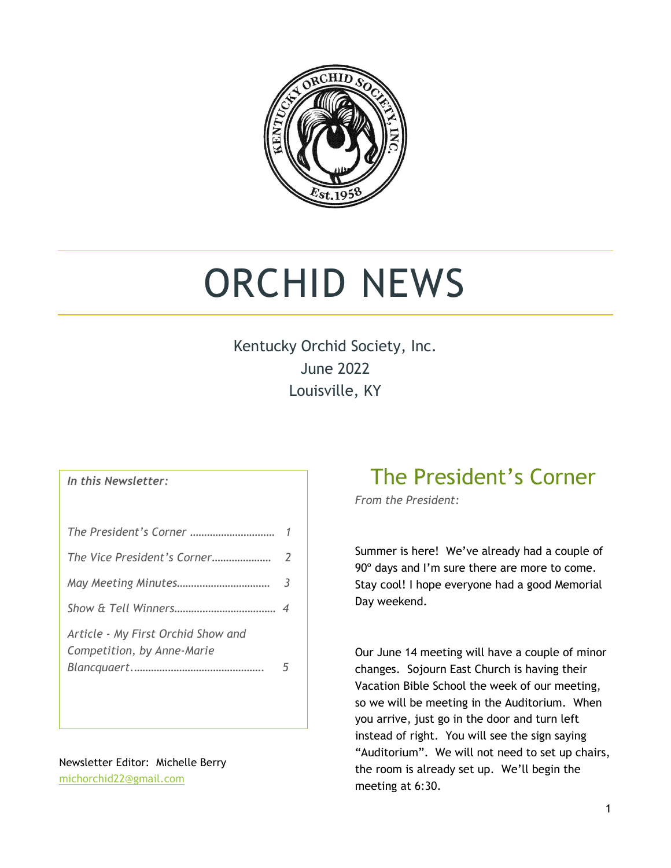

# ORCHID NEWS

Kentucky Orchid Society, Inc. June 2022 Louisville, KY

#### *In this Newsletter:*

| The Vice President's Corner                                      | $\mathcal{L}$ |
|------------------------------------------------------------------|---------------|
|                                                                  | 3             |
|                                                                  |               |
| Article - My First Orchid Show and<br>Competition, by Anne-Marie |               |

Newsletter Editor: Michelle Berry [michorchid22@gmail.com](mailto:michorchid22@gmail.com)

## The President's Corner

*From the President:*

Summer is here! We've already had a couple of 90° days and I'm sure there are more to come. Stay cool! I hope everyone had a good Memorial Day weekend.

Our June 14 meeting will have a couple of minor changes. Sojourn East Church is having their Vacation Bible School the week of our meeting, so we will be meeting in the Auditorium. When you arrive, just go in the door and turn left instead of right. You will see the sign saying "Auditorium". We will not need to set up chairs, the room is already set up. We'll begin the meeting at 6:30.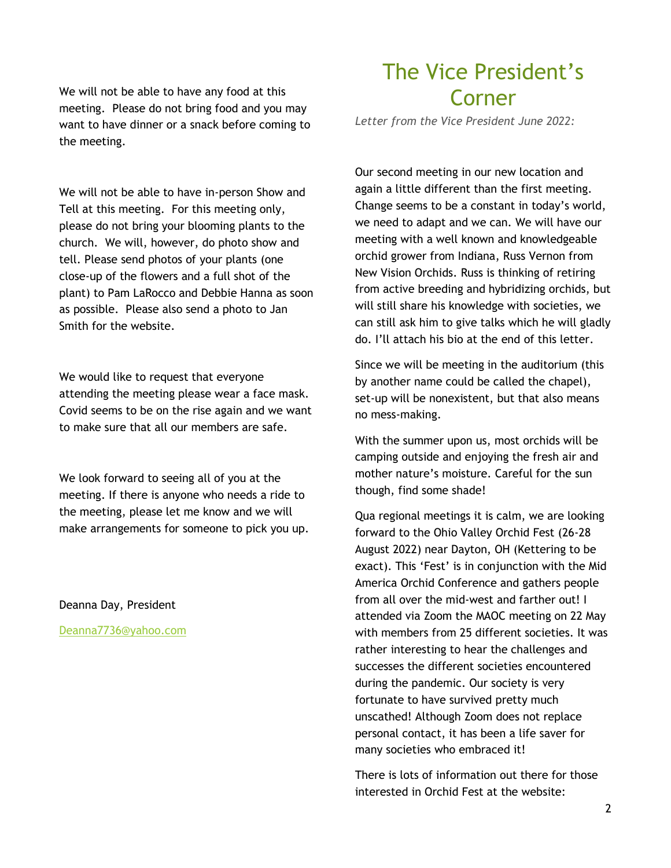We will not be able to have any food at this meeting. Please do not bring food and you may want to have dinner or a snack before coming to the meeting.

We will not be able to have in-person Show and Tell at this meeting. For this meeting only, please do not bring your blooming plants to the church. We will, however, do photo show and tell. Please send photos of your plants (one close-up of the flowers and a full shot of the plant) to Pam LaRocco and Debbie Hanna as soon as possible. Please also send a photo to Jan Smith for the website.

We would like to request that everyone attending the meeting please wear a face mask. Covid seems to be on the rise again and we want to make sure that all our members are safe.

We look forward to seeing all of you at the meeting. If there is anyone who needs a ride to the meeting, please let me know and we will make arrangements for someone to pick you up.

Deanna Day, President

[Deanna7736@yahoo.com](mailto:Deanna7736@yahoo.com)

### The Vice President's Corner

*Letter from the Vice President June 2022:*

Our second meeting in our new location and again a little different than the first meeting. Change seems to be a constant in today's world, we need to adapt and we can. We will have our meeting with a well known and knowledgeable orchid grower from Indiana, Russ Vernon from New Vision Orchids. Russ is thinking of retiring from active breeding and hybridizing orchids, but will still share his knowledge with societies, we can still ask him to give talks which he will gladly do. I'll attach his bio at the end of this letter.

Since we will be meeting in the auditorium (this by another name could be called the chapel), set-up will be nonexistent, but that also means no mess-making.

With the summer upon us, most orchids will be camping outside and enjoying the fresh air and mother nature's moisture. Careful for the sun though, find some shade!

Qua regional meetings it is calm, we are looking forward to the Ohio Valley Orchid Fest (26-28 August 2022) near Dayton, OH (Kettering to be exact). This 'Fest' is in conjunction with the Mid America Orchid Conference and gathers people from all over the mid-west and farther out! I attended via Zoom the MAOC meeting on 22 May with members from 25 different societies. It was rather interesting to hear the challenges and successes the different societies encountered during the pandemic. Our society is very fortunate to have survived pretty much unscathed! Although Zoom does not replace personal contact, it has been a life saver for many societies who embraced it!

There is lots of information out there for those interested in Orchid Fest at the website: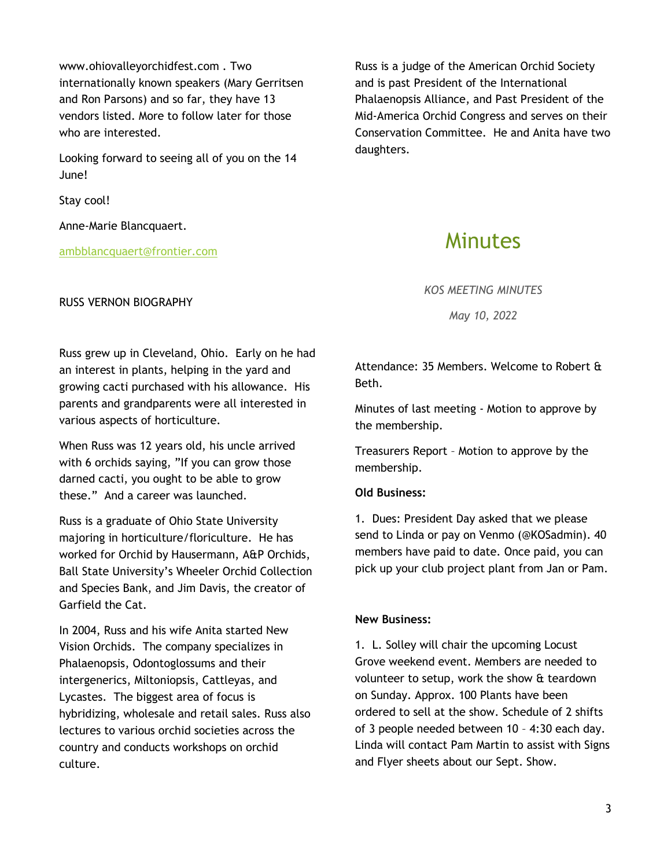www.ohiovalleyorchidfest.com . Two internationally known speakers (Mary Gerritsen and Ron Parsons) and so far, they have 13 vendors listed. More to follow later for those who are interested.

Looking forward to seeing all of you on the 14 June!

Stay cool!

Anne-Marie Blancquaert.

[ambblancquaert@frontier.com](mailto:ambblancquaert@frontier.com)

### RUSS VERNON BIOGRAPHY

Russ is a judge of the American Orchid Society and is past President of the International Phalaenopsis Alliance, and Past President of the Mid-America Orchid Congress and serves on their Conservation Committee. He and Anita have two daughters.

### Minutes

*KOS MEETING MINUTES*

*May 10, 2022*

Russ grew up in Cleveland, Ohio. Early on he had an interest in plants, helping in the yard and growing cacti purchased with his allowance. His parents and grandparents were all interested in various aspects of horticulture.

When Russ was 12 years old, his uncle arrived with 6 orchids saying, "If you can grow those darned cacti, you ought to be able to grow these." And a career was launched.

Russ is a graduate of Ohio State University majoring in horticulture/floriculture. He has worked for Orchid by Hausermann, A&P Orchids, Ball State University's Wheeler Orchid Collection and Species Bank, and Jim Davis, the creator of Garfield the Cat.

In 2004, Russ and his wife Anita started New Vision Orchids. The company specializes in Phalaenopsis, Odontoglossums and their intergenerics, Miltoniopsis, Cattleyas, and Lycastes. The biggest area of focus is hybridizing, wholesale and retail sales. Russ also lectures to various orchid societies across the country and conducts workshops on orchid culture.

Attendance: 35 Members. Welcome to Robert & Beth.

Minutes of last meeting - Motion to approve by the membership.

Treasurers Report – Motion to approve by the membership.

### **Old Business:**

1. Dues: President Day asked that we please send to Linda or pay on Venmo (@KOSadmin). 40 members have paid to date. Once paid, you can pick up your club project plant from Jan or Pam.

#### **New Business:**

1. L. Solley will chair the upcoming Locust Grove weekend event. Members are needed to volunteer to setup, work the show & teardown on Sunday. Approx. 100 Plants have been ordered to sell at the show. Schedule of 2 shifts of 3 people needed between 10 – 4:30 each day. Linda will contact Pam Martin to assist with Signs and Flyer sheets about our Sept. Show.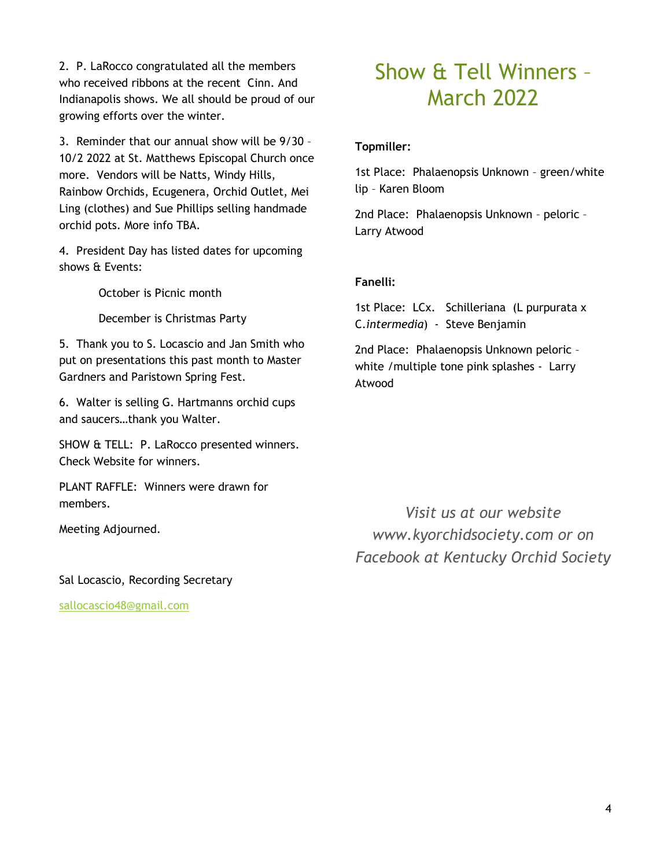2. P. LaRocco congratulated all the members who received ribbons at the recent Cinn. And Indianapolis shows. We all should be proud of our growing efforts over the winter.

3. Reminder that our annual show will be 9/30 – 10/2 2022 at St. Matthews Episcopal Church once more. Vendors will be Natts, Windy Hills, Rainbow Orchids, Ecugenera, Orchid Outlet, Mei Ling (clothes) and Sue Phillips selling handmade orchid pots. More info TBA.

4. President Day has listed dates for upcoming shows & Events:

October is Picnic month

December is Christmas Party

5. Thank you to S. Locascio and Jan Smith who put on presentations this past month to Master Gardners and Paristown Spring Fest.

6. Walter is selling G. Hartmanns orchid cups and saucers…thank you Walter.

SHOW & TELL: P. LaRocco presented winners. Check Website for winners.

PLANT RAFFLE: Winners were drawn for members.

Meeting Adjourned.

Sal Locascio, Recording Secretary

[sallocascio48@gmail.com](mailto:sallocascio48@gmail.com)

# Show & Tell Winners – March 2022

### **Topmiller:**

1st Place: Phalaenopsis Unknown – green/white lip – Karen Bloom

2nd Place: Phalaenopsis Unknown – peloric – Larry Atwood

### **Fanelli:**

1st Place: LCx. Schilleriana (L purpurata x C.*intermedia*) - Steve Benjamin

2nd Place: Phalaenopsis Unknown peloric – white /multiple tone pink splashes - Larry Atwood

*Visit us at our website [www.kyorchidsociety.com](http://www.kyorchidsociety.com/) or on Facebook at Kentucky Orchid Society*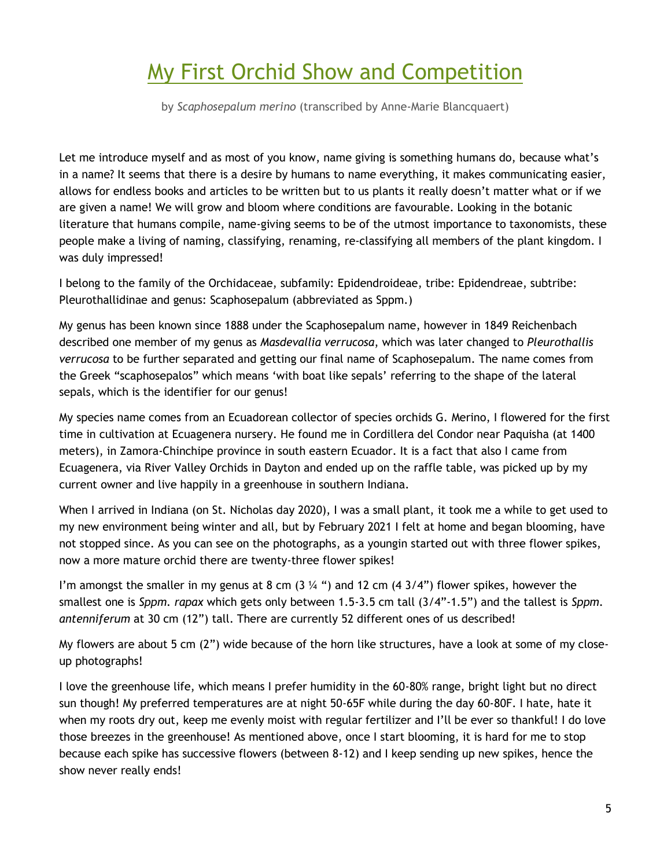# My First Orchid Show and Competition

by *Scaphosepalum merino* (transcribed by Anne-Marie Blancquaert)

Let me introduce myself and as most of you know, name giving is something humans do, because what's in a name? It seems that there is a desire by humans to name everything, it makes communicating easier, allows for endless books and articles to be written but to us plants it really doesn't matter what or if we are given a name! We will grow and bloom where conditions are favourable. Looking in the botanic literature that humans compile, name-giving seems to be of the utmost importance to taxonomists, these people make a living of naming, classifying, renaming, re-classifying all members of the plant kingdom. I was duly impressed!

I belong to the family of the Orchidaceae, subfamily: Epidendroideae, tribe: Epidendreae, subtribe: Pleurothallidinae and genus: Scaphosepalum (abbreviated as Sppm.)

My genus has been known since 1888 under the Scaphosepalum name, however in 1849 Reichenbach described one member of my genus as *Masdevallia verrucosa*, which was later changed to *Pleurothallis verrucosa* to be further separated and getting our final name of Scaphosepalum. The name comes from the Greek "scaphosepalos" which means 'with boat like sepals' referring to the shape of the lateral sepals, which is the identifier for our genus!

My species name comes from an Ecuadorean collector of species orchids G. Merino, I flowered for the first time in cultivation at Ecuagenera nursery. He found me in Cordillera del Condor near Paquisha (at 1400 meters), in Zamora-Chinchipe province in south eastern Ecuador. It is a fact that also I came from Ecuagenera, via River Valley Orchids in Dayton and ended up on the raffle table, was picked up by my current owner and live happily in a greenhouse in southern Indiana.

When I arrived in Indiana (on St. Nicholas day 2020), I was a small plant, it took me a while to get used to my new environment being winter and all, but by February 2021 I felt at home and began blooming, have not stopped since. As you can see on the photographs, as a youngin started out with three flower spikes, now a more mature orchid there are twenty-three flower spikes!

I'm amongst the smaller in my genus at 8 cm  $(3\frac{1}{4})$  and 12 cm  $(4\frac{3}{4})$  flower spikes, however the smallest one is *Sppm. rapax* which gets only between 1.5-3.5 cm tall (3/4"-1.5") and the tallest is *Sppm. antenniferum* at 30 cm (12") tall. There are currently 52 different ones of us described!

My flowers are about 5 cm (2") wide because of the horn like structures, have a look at some of my closeup photographs!

I love the greenhouse life, which means I prefer humidity in the 60-80% range, bright light but no direct sun though! My preferred temperatures are at night 50-65F while during the day 60-80F. I hate, hate it when my roots dry out, keep me evenly moist with regular fertilizer and I'll be ever so thankful! I do love those breezes in the greenhouse! As mentioned above, once I start blooming, it is hard for me to stop because each spike has successive flowers (between 8-12) and I keep sending up new spikes, hence the show never really ends!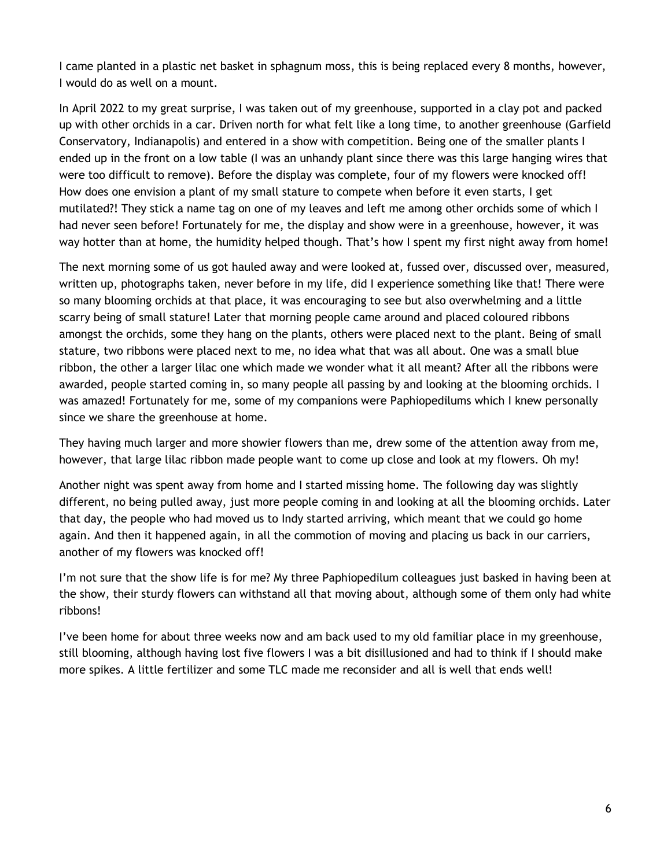I came planted in a plastic net basket in sphagnum moss, this is being replaced every 8 months, however, I would do as well on a mount.

In April 2022 to my great surprise, I was taken out of my greenhouse, supported in a clay pot and packed up with other orchids in a car. Driven north for what felt like a long time, to another greenhouse (Garfield Conservatory, Indianapolis) and entered in a show with competition. Being one of the smaller plants I ended up in the front on a low table (I was an unhandy plant since there was this large hanging wires that were too difficult to remove). Before the display was complete, four of my flowers were knocked off! How does one envision a plant of my small stature to compete when before it even starts, I get mutilated?! They stick a name tag on one of my leaves and left me among other orchids some of which I had never seen before! Fortunately for me, the display and show were in a greenhouse, however, it was way hotter than at home, the humidity helped though. That's how I spent my first night away from home!

The next morning some of us got hauled away and were looked at, fussed over, discussed over, measured, written up, photographs taken, never before in my life, did I experience something like that! There were so many blooming orchids at that place, it was encouraging to see but also overwhelming and a little scarry being of small stature! Later that morning people came around and placed coloured ribbons amongst the orchids, some they hang on the plants, others were placed next to the plant. Being of small stature, two ribbons were placed next to me, no idea what that was all about. One was a small blue ribbon, the other a larger lilac one which made we wonder what it all meant? After all the ribbons were awarded, people started coming in, so many people all passing by and looking at the blooming orchids. I was amazed! Fortunately for me, some of my companions were Paphiopedilums which I knew personally since we share the greenhouse at home.

They having much larger and more showier flowers than me, drew some of the attention away from me, however, that large lilac ribbon made people want to come up close and look at my flowers. Oh my!

Another night was spent away from home and I started missing home. The following day was slightly different, no being pulled away, just more people coming in and looking at all the blooming orchids. Later that day, the people who had moved us to Indy started arriving, which meant that we could go home again. And then it happened again, in all the commotion of moving and placing us back in our carriers, another of my flowers was knocked off!

I'm not sure that the show life is for me? My three Paphiopedilum colleagues just basked in having been at the show, their sturdy flowers can withstand all that moving about, although some of them only had white ribbons!

I've been home for about three weeks now and am back used to my old familiar place in my greenhouse, still blooming, although having lost five flowers I was a bit disillusioned and had to think if I should make more spikes. A little fertilizer and some TLC made me reconsider and all is well that ends well!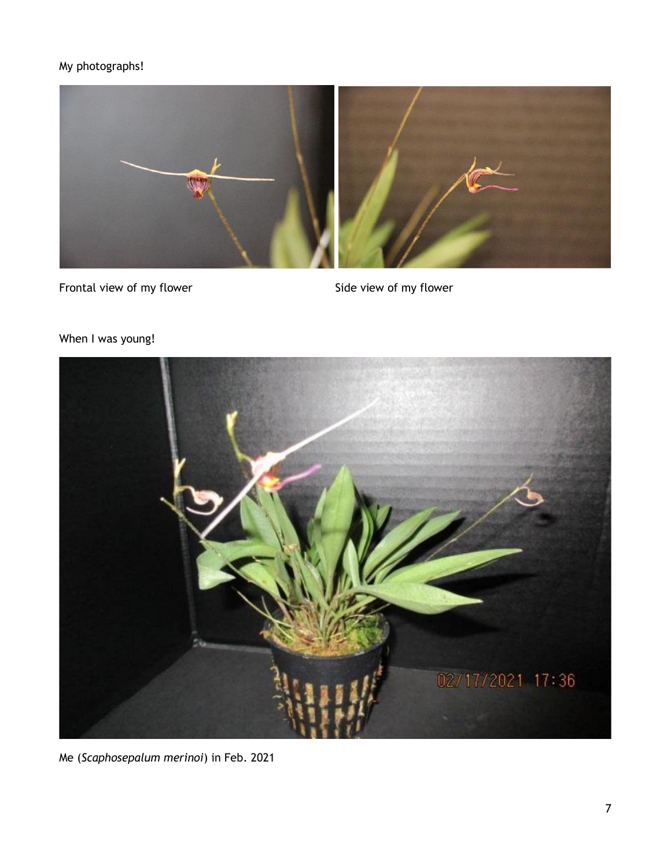### My photographs!



Frontal view of my flower Side view of my flower



### When I was young!

Me (*Scaphosepalum merinoi*) in Feb. 2021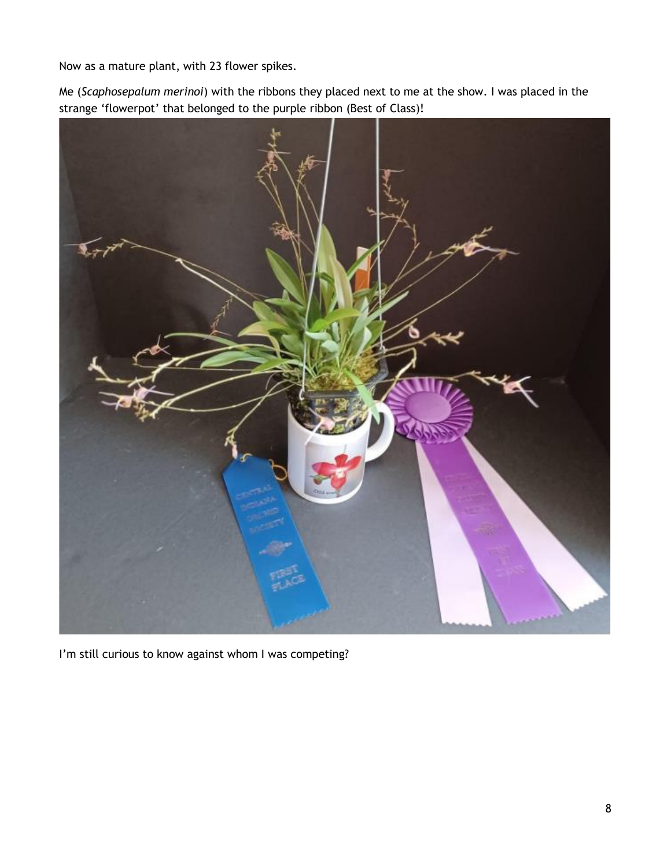Now as a mature plant, with 23 flower spikes.

Me (*Scaphosepalum merinoi*) with the ribbons they placed next to me at the show. I was placed in the strange 'flowerpot' that belonged to the purple ribbon (Best of Class)!



I'm still curious to know against whom I was competing?